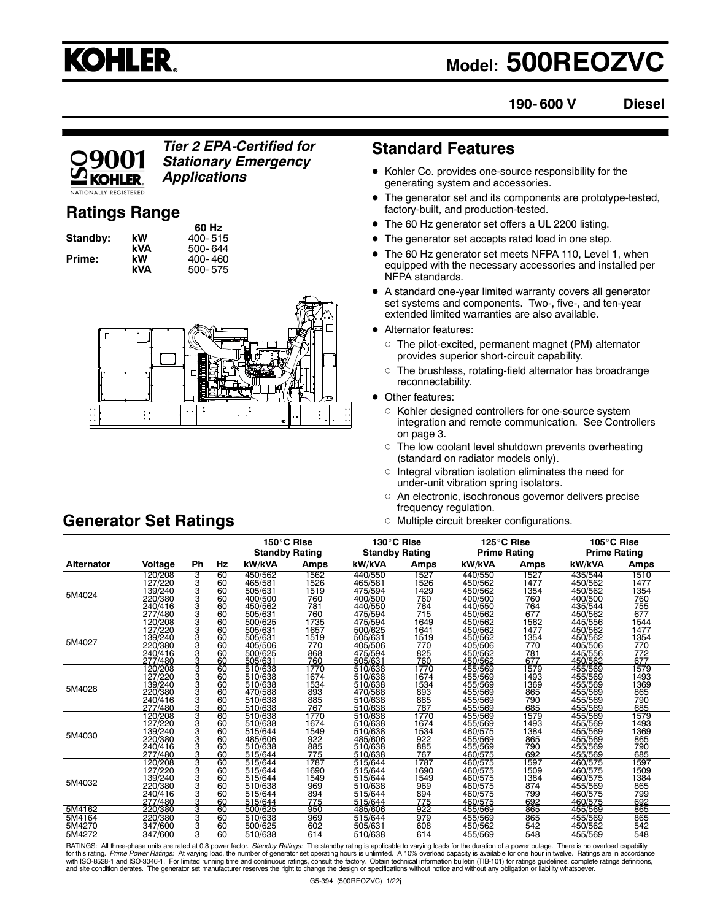

# **Model: 500REOZVC**

**190- 600 V Diesel**

### *Tier 2 EPA-Certified for Stationary Emergency Applications*

# **Ratings Range**

|          |     | 60 Hz       |
|----------|-----|-------------|
| Standby: | kW  | $400 - 515$ |
|          | kVA | 500-644     |
| Prime:   | kW  | 400-460     |
|          | kVA | 500-575     |

**60 Hz Standby: kW** 400- 515 **kVA** 500- 644 **Prime: kW** 400- 460



# **Standard Features**

- Kohler Co. provides one-source responsibility for the generating system and accessories.
- The generator set and its components are prototype-tested, factory-built, and production-tested.
- The 60 Hz generator set offers a UL 2200 listing.
- The generator set accepts rated load in one step.
- The 60 Hz generator set meets NFPA 110, Level 1, when equipped with the necessary accessories and installed per NFPA standards.
- A standard one-year limited warranty covers all generator set systems and components. Two-, five-, and ten-year extended limited warranties are also available.
- **Alternator features:** 
	- The pilot-excited, permanent magnet (PM) alternator provides superior short-circuit capability.
	- $\circ~$  The brushless, rotating-field alternator has broadrange reconnectability.
- Other features:
	- $\circ~$  Kohler designed controllers for one-source system integration and remote communication. See Controllers on page 3.
	- The low coolant level shutdown prevents overheating (standard on radiator models only).
	- Integral vibration isolation eliminates the need for under-unit vibration spring isolators.
	- $\circ~$  An electronic, isochronous governor delivers precise frequency regulation.
	- Multiple circuit breaker configurations.

|                   |         |        |    | 150°C Rise            |      | 130°C Rise            |      | 125°C Rise          |      | 105°C Rise          |      |
|-------------------|---------|--------|----|-----------------------|------|-----------------------|------|---------------------|------|---------------------|------|
|                   |         |        |    | <b>Standby Rating</b> |      | <b>Standby Rating</b> |      | <b>Prime Rating</b> |      | <b>Prime Rating</b> |      |
| <b>Alternator</b> | Voltage | Ph     | Hz | kW/kVA                | Amps | kW/kVA                | Amps | kW/kVA              | Amps | kW/kVA              | Amps |
|                   | 120/208 | 3      | 60 | 450/562               | 1562 | 440/550               | 1527 | 440/550             | 1527 | 435/544             | 1510 |
|                   | 127/220 | 3      | 60 | 465/581               | 1526 | 465/581               | 1526 | 450/562             | 1477 | 450/562             | 1477 |
| 5M4024            | 139/240 | 3<br>3 | 60 | 505/631               | 1519 | 475/594               | 1429 | 450/562             | 1354 | 450/562             | 1354 |
|                   | 220/380 |        | 60 | 400/500               | 760  | 400/500               | 760  | 400/500             | 760  | 400/500             | 760  |
|                   | 240/416 | 3      | 60 | 450/562               | 781  | 440/550               | 764  | 440/550             | 764  | 435/544             | 755  |
|                   | 277/480 | 3      | 60 | 505/631               | 760  | 475/594               | 715  | 450/562             | 677  | 450/562             | 677  |
|                   | 120/208 | 3      | 60 | 500/625               | 1735 | 475/594               | 1649 | 450/562             | 1562 | 445/556             | 1544 |
|                   | 127/220 | 3      | 60 | 505/631               | 1657 | 500/625               | 1641 | 450/562             | 1477 | 450/562             | 1477 |
| 5M4027            | 139/240 | 3      | 60 | 505/631               | 1519 | 505/631               | 1519 | 450/562             | 1354 | 450/562             | 1354 |
|                   | 220/380 | 3      | 60 | 405/506               | 770  | 405/506               | 770  | 405/506             | 770  | 405/506             | 770  |
|                   | 240/416 | 3      | 60 | 500/625               | 868  | 475/594               | 825  | 450/562             | 781  | 445/556             | 772  |
|                   | 277/480 | 3      | 60 | 505/631               | 760  | 505/631               | 760  | 450/562             | 677  | 450/562             | 677  |
|                   | 120/208 | 3      | 60 | 510/638               | 1770 | 510/638               | 1770 | 455/569             | 1579 | 455/569             | 1579 |
|                   | 127/220 | 3      | 60 | 510/638               | 1674 | 510/638               | 1674 | 455/569             | 1493 | 455/569             | 1493 |
| 5M4028            | 139/240 | 3      | 60 | 510/638               | 1534 | 510/638               | 1534 | 455/569             | 1369 | 455/569             | 1369 |
|                   | 220/380 | 3      | 60 | 470/588               | 893  | 470/588               | 893  | 455/569             | 865  | 455/569             | 865  |
|                   | 240/416 | 3      | 60 | 510/638               | 885  | 510/638               | 885  | 455/569             | 790  | 455/569             | 790  |
|                   | 277/480 | 3      | 60 | 510/638               | 767  | 510/638               | 767  | 455/569             | 685  | 455/569             | 685  |
|                   | 120/208 | 3      | 60 | 510/638               | 1770 | 510/638               | 1770 | 455/569             | 1579 | 455/569             | 1579 |
|                   | 127/220 | 3      | 60 | 510/638               | 1674 | 510/638               | 1674 | 455/569             | 1493 | 455/569             | 1493 |
| 5M4030            | 139/240 | 3      | 60 | 515/644               | 1549 | 510/638               | 1534 | 460/575             | 1384 | 455/569             | 1369 |
|                   | 220/380 | 3      | 60 | 485/606               | 922  | 485/606               | 922  | 455/569             | 865  | 455/569             | 865  |
|                   | 240/416 | 3      | 60 | 510/638               | 885  | 510/638               | 885  | 455/569             | 790  | 455/569             | 790  |
|                   | 277/480 | 3      | 60 | 515/644               | 775  | 510/638               | 767  | 460/575             | 692  | 455/569             | 685  |
|                   | 120/208 | 3      | 60 | 515/644               | 1787 | 515/644               | 1787 | 460/575             | 1597 | 460/575             | 1597 |
|                   | 127/220 | 3      | 60 | 515/644               | 1690 | 515/644               | 1690 | 460/575             | 1509 | 460/575             | 1509 |
| 5M4032            | 139/240 | 3      | 60 | 515/644               | 1549 | 515/644               | 1549 | 460/575             | 1384 | 460/575             | 1384 |
|                   | 220/380 | 3      | 60 | 510/638               | 969  | 510/638               | 969  | 460/575             | 874  | 455/569             | 865  |
|                   | 240/416 | 3      | 60 | 515/644               | 894  | 515/644               | 894  | 460/575             | 799  | 460/575             | 799  |
|                   | 277/480 | 3      | 60 | 515/644               | 775  | 515/644               | 775  | 460/575             | 692  | 460/575             | 692  |
| 5M4162            | 220/380 | 3      | 60 | 500/625               | 950  | 485/606               | 922  | 455/569             | 865  | 455/569             | 865  |
| 5M4164            | 220/380 | 3      | 60 | 510/638               | 969  | 515/644               | 979  | 455/569             | 865  | 455/569             | 865  |
| 5M4270            | 347/600 | 3      | 60 | 500/625               | 602  | 505/631               | 608  | 450/562             | 542  | 450/562             | 542  |
| 5M4272            | 347/600 | 3      | 60 | 510/638               | 614  | 510/638               | 614  | 455/569             | 548  | 455/569             | 548  |

RATINGS: All three-phase units are rated at 0.8 power factor. Standby Ratings: The standby rating is applicable to varying loads for the duration of a power outage. There is no overload capability for this rating. *Prime Power Ratings*: At varying load, the number of generator set operating hours is unlimited. A 10% overload capacity is available for one hour in twelve. Ratings are in accordance<br>with ISO-8528-1 and

# **Generator Set Ratings**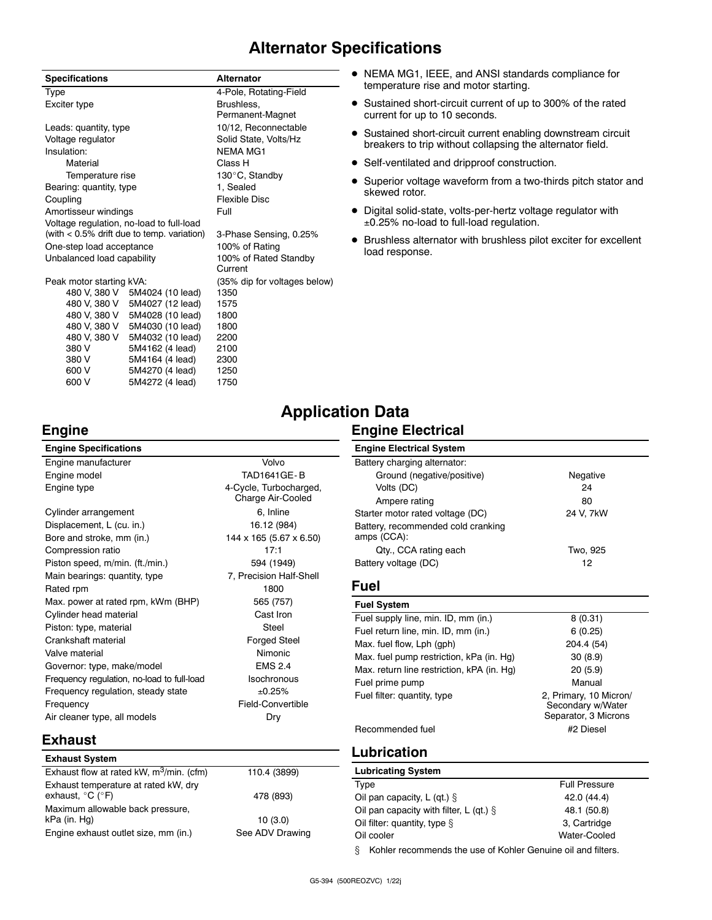# **Alternator Specifications**

| <b>Specifications</b>                         |                  | <b>Alternator</b>            |  |  |
|-----------------------------------------------|------------------|------------------------------|--|--|
| Type                                          |                  | 4-Pole, Rotating-Field       |  |  |
| Exciter type                                  |                  | Brushless.                   |  |  |
|                                               |                  | Permanent-Magnet             |  |  |
| Leads: quantity, type                         |                  | 10/12, Reconnectable         |  |  |
| Voltage regulator                             |                  | Solid State, Volts/Hz        |  |  |
| Insulation:                                   |                  | <b>NEMA MG1</b>              |  |  |
| Material                                      |                  | Class H                      |  |  |
| Temperature rise                              |                  | 130°C, Standby               |  |  |
| Bearing: quantity, type                       |                  | 1. Sealed                    |  |  |
| Coupling                                      |                  | Flexible Disc                |  |  |
| Amortisseur windings                          |                  | Full                         |  |  |
| Voltage regulation, no-load to full-load      |                  |                              |  |  |
| (with $< 0.5\%$ drift due to temp. variation) |                  | 3-Phase Sensing, 0.25%       |  |  |
| One-step load acceptance                      |                  | 100% of Rating               |  |  |
| Unbalanced load capability                    |                  | 100% of Rated Standby        |  |  |
|                                               |                  | Current                      |  |  |
| Peak motor starting kVA:                      |                  | (35% dip for voltages below) |  |  |
| 480 V. 380 V                                  | 5M4024 (10 lead) | 1350                         |  |  |
| 480 V. 380 V                                  | 5M4027 (12 lead) | 1575                         |  |  |
| 480 V, 380 V                                  | 5M4028 (10 lead) | 1800                         |  |  |
| 480 V, 380 V                                  | 5M4030 (10 lead) | 1800                         |  |  |
| 480 V, 380 V                                  | 5M4032 (10 lead) | 2200                         |  |  |
| 380 V                                         | 5M4162 (4 lead)  | 2100                         |  |  |
| 380 V                                         | 5M4164 (4 lead)  | 2300                         |  |  |
| 600 V                                         | 5M4270 (4 lead)  | 1250                         |  |  |
| 600 V                                         | 5M4272 (4 lead)  | 1750                         |  |  |

- NEMA MG1, IEEE, and ANSI standards compliance for temperature rise and motor starting.
- Sustained short-circuit current of up to 300% of the rated current for up to 10 seconds.
- Sustained short-circuit current enabling downstream circuit breakers to trip without collapsing the alternator field.
- Self-ventilated and dripproof construction.
- Superior voltage waveform from a two-thirds pitch stator and skewed rotor.
- Digital solid-state, volts-per-hertz voltage regulator with ±0.25% no-load to full-load regulation.
- Brushless alternator with brushless pilot exciter for excellent load response.

# **Application Data**

#### **Engine Electrical**

| <b>Engine Specifications</b>               |                                             |
|--------------------------------------------|---------------------------------------------|
| Engine manufacturer                        | Volvo                                       |
| Engine model                               | <b>TAD1641GE-B</b>                          |
| Engine type                                | 4-Cycle, Turbocharged,<br>Charge Air-Cooled |
| Cylinder arrangement                       | 6, Inline                                   |
| Displacement, L (cu. in.)                  | 16.12 (984)                                 |
| Bore and stroke, mm (in.)                  | 144 x 165 (5.67 x 6.50)                     |
| Compression ratio                          | 17:1                                        |
| Piston speed, m/min. (ft./min.)            | 594 (1949)                                  |
| Main bearings: quantity, type              | 7, Precision Half-Shell                     |
| Rated rpm                                  | 1800                                        |
| Max. power at rated rpm, kWm (BHP)         | 565 (757)                                   |
| Cylinder head material                     | Cast Iron                                   |
| Piston: type, material                     | Steel                                       |
| Crankshaft material                        | <b>Forged Steel</b>                         |
| Valve material                             | <b>Nimonic</b>                              |
| Governor: type, make/model                 | <b>FMS 2.4</b>                              |
| Frequency regulation, no-load to full-load | <b>Isochronous</b>                          |
| Frequency regulation, steady state         | ±0.25%                                      |
| Frequency                                  | Field-Convertible                           |
| Air cleaner type, all models               | Dry                                         |

#### **Engine Electrical System** Battery charging alternator: Ground (negative/positive) Negative Volts (DC) 24 Ampere rating 80 Starter motor rated voltage (DC) 24 V, 7kW Battery, recommended cold cranking amps (CCA): Qty., CCA rating each Two, 925 Battery voltage (DC) 12 **Fuel Fuel System**

| Fuel supply line, min. ID, mm (in.)        | 8(0.31)                                                             |
|--------------------------------------------|---------------------------------------------------------------------|
| Fuel return line, min. ID, mm (in.)        | 6(0.25)                                                             |
| Max. fuel flow, Lph (gph)                  | 204.4 (54)                                                          |
| Max. fuel pump restriction, kPa (in. Hq)   | 30(8.9)                                                             |
| Max. return line restriction, kPA (in. Hg) | 20(5.9)                                                             |
| Fuel prime pump                            | Manual                                                              |
| Fuel filter: quantity, type                | 2, Primary, 10 Micron/<br>Secondary w/Water<br>Separator, 3 Microns |
| Recommended fuel                           | #2 Diesel                                                           |
|                                            |                                                                     |

# **Exhaust**

| <b>Exhaust System</b>                                                         |                 |
|-------------------------------------------------------------------------------|-----------------|
| Exhaust flow at rated kW, m <sup>3</sup> /min. (cfm)                          | 110.4 (3899)    |
| Exhaust temperature at rated kW, dry<br>exhaust, $^{\circ}$ C ( $^{\circ}$ F) | 478 (893)       |
| Maximum allowable back pressure,<br>kPa (in. Hg)                              | 10(3.0)         |
| Engine exhaust outlet size, mm (in.)                                          | See ADV Drawing |

# **Lubrication**

| <b>Lubricating System</b>                                   |                      |  |
|-------------------------------------------------------------|----------------------|--|
| Type                                                        | <b>Full Pressure</b> |  |
| Oil pan capacity, $L$ (qt.) $\S$                            | 42.0 (44.4)          |  |
| Oil pan capacity with filter, L (qt.) $\S$                  | 48.1 (50.8)          |  |
| Oil filter: quantity, type §                                | 3, Cartridge         |  |
| Oil cooler                                                  | Water-Cooled         |  |
| Kehlar resempende the use of Kehlar Cenujne eil end filtere |                      |  |

Kohler recommends the use of Kohler Genuine oil and filters.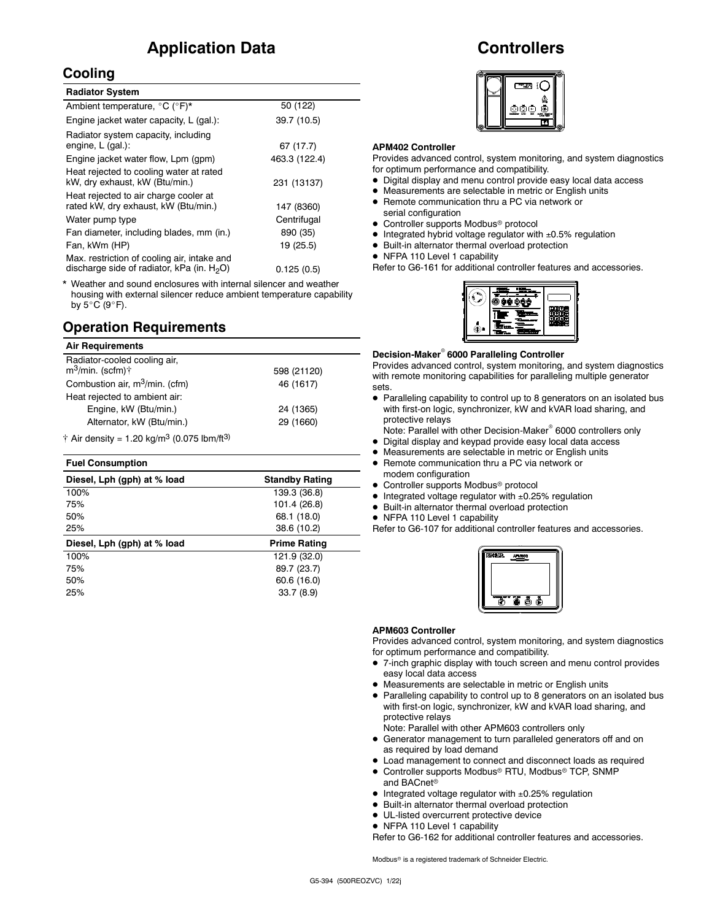# **Application Data**

### **Cooling**

| <b>Radiator System</b>                                                                       |               |
|----------------------------------------------------------------------------------------------|---------------|
| Ambient temperature, °C (°F)*                                                                | 50 (122)      |
| Engine jacket water capacity, L (gal.):                                                      | 39.7 (10.5)   |
| Radiator system capacity, including<br>engine, L (gal.):                                     | 67 (17.7)     |
| Engine jacket water flow, Lpm (gpm)                                                          | 463.3 (122.4) |
| Heat rejected to cooling water at rated<br>kW, dry exhaust, kW (Btu/min.)                    | 231 (13137)   |
| Heat rejected to air charge cooler at<br>rated kW, dry exhaust, kW (Btu/min.)                | 147 (8360)    |
| Water pump type                                                                              | Centrifugal   |
| Fan diameter, including blades, mm (in.)                                                     | 890 (35)      |
| Fan, kWm (HP)                                                                                | 19 (25.5)     |
| Max. restriction of cooling air, intake and<br>discharge side of radiator, kPa (in. $H_2O$ ) | 0.125(0.5)    |

\* Weather and sound enclosures with internal silencer and weather housing with external silencer reduce ambient temperature capability by  $5^{\circ}$ C (9 $^{\circ}$ F).

# **Operation Requirements**

#### **Air Requirements**

| Radiator-cooled cooling air,<br>$m^3$ /min. (scfm) $\dagger$               | 598 (21120) |
|----------------------------------------------------------------------------|-------------|
| Combustion air, m <sup>3</sup> /min. (cfm)                                 | 46 (1617)   |
| Heat rejected to ambient air:                                              |             |
| Engine, kW (Btu/min.)                                                      | 24 (1365)   |
| Alternator, kW (Btu/min.)                                                  | 29 (1660)   |
| $\dagger$ Air density = 1.20 kg/m <sup>3</sup> (0.075 lbm/ft <sup>3)</sup> |             |

#### **Fuel Consumption**

| <b>Standby Rating</b> |
|-----------------------|
| 139.3 (36.8)          |
| 101.4 (26.8)          |
| 68.1 (18.0)           |
| 38.6 (10.2)           |
| Prime Rating          |
| 121.9 (32.0)          |
| 89.7 (23.7)           |
| 60.6 (16.0)           |
| 33.7(8.9)             |
|                       |

# **Controllers**



#### **APM402 Controller**

Provides advanced control, system monitoring, and system diagnostics for optimum performance and compatibility.

- Digital display and menu control provide easy local data access
- Measurements are selectable in metric or English units
- Remote communication thru a PC via network or serial configuration
- Controller supports Modbus<sup>®</sup> protocol
- Integrated hybrid voltage regulator with ±0.5% regulation
- Built-in alternator thermal overload protection
- NFPA 110 Level 1 capability

Refer to G6-161 for additional controller features and accessories.



#### **Decision-Maker 6000 Paralleling Controller**

Provides advanced control, system monitoring, and system diagnostics with remote monitoring capabilities for paralleling multiple generator sets.

 Paralleling capability to control up to 8 generators on an isolated bus with first-on logic, synchronizer, kW and kVAR load sharing, and protective relays

Note: Parallel with other Decision-Maker<sup>®</sup> 6000 controllers only

- Digital display and keypad provide easy local data access
- Measurements are selectable in metric or English units
- Remote communication thru a PC via network or modem configuration
- Controller supports Modbus<sup>®</sup> protocol
- $\bullet$  Integrated voltage regulator with  $\pm 0.25\%$  regulation
- Built-in alternator thermal overload protection
- NFPA 110 Level 1 capability

Refer to G6-107 for additional controller features and accessories.



#### **APM603 Controller**

Provides advanced control, system monitoring, and system diagnostics for optimum performance and compatibility.

- 7-inch graphic display with touch screen and menu control provides easy local data access
- Measurements are selectable in metric or English units
- Paralleling capability to control up to 8 generators on an isolated bus with first-on logic, synchronizer, kW and kVAR load sharing, and protective relays

Note: Parallel with other APM603 controllers only

- Generator management to turn paralleled generators off and on as required by load demand
- Load management to connect and disconnect loads as required • Controller supports Modbus<sup>®</sup> RTU, Modbus<sup>®</sup> TCP, SNMP
	- and BACnet
- $\bullet$  Integrated voltage regulator with  $\pm 0.25\%$  regulation
- Built-in alternator thermal overload protection
- UL-listed overcurrent protective device
- NFPA 110 Level 1 capability

Refer to G6-162 for additional controller features and accessories.

Modbus<sup>®</sup> is a registered trademark of Schneider Electric.